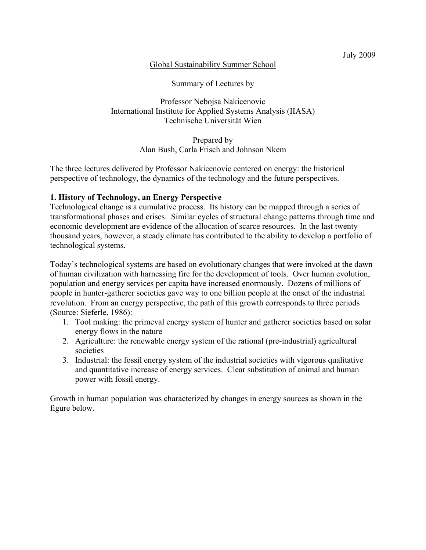#### Global Sustainability Summer School

Summary of Lectures by

Professor Nebojsa Nakicenovic International Institute for Applied Systems Analysis (IIASA) Technische Universität Wien

> Prepared by Alan Bush, Carla Frisch and Johnson Nkem

The three lectures delivered by Professor Nakicenovic centered on energy: the historical perspective of technology, the dynamics of the technology and the future perspectives.

### **1. History of Technology, an Energy Perspective**

Technological change is a cumulative process. Its history can be mapped through a series of transformational phases and crises. Similar cycles of structural change patterns through time and economic development are evidence of the allocation of scarce resources. In the last twenty thousand years, however, a steady climate has contributed to the ability to develop a portfolio of technological systems.

Today's technological systems are based on evolutionary changes that were invoked at the dawn of human civilization with harnessing fire for the development of tools. Over human evolution, population and energy services per capita have increased enormously. Dozens of millions of people in hunter-gatherer societies gave way to one billion people at the onset of the industrial revolution. From an energy perspective, the path of this growth corresponds to three periods (Source: Sieferle, 1986):

- 1. Tool making: the primeval energy system of hunter and gatherer societies based on solar energy flows in the nature
- 2. Agriculture: the renewable energy system of the rational (pre-industrial) agricultural societies
- 3. Industrial: the fossil energy system of the industrial societies with vigorous qualitative and quantitative increase of energy services. Clear substitution of animal and human power with fossil energy.

Growth in human population was characterized by changes in energy sources as shown in the figure below.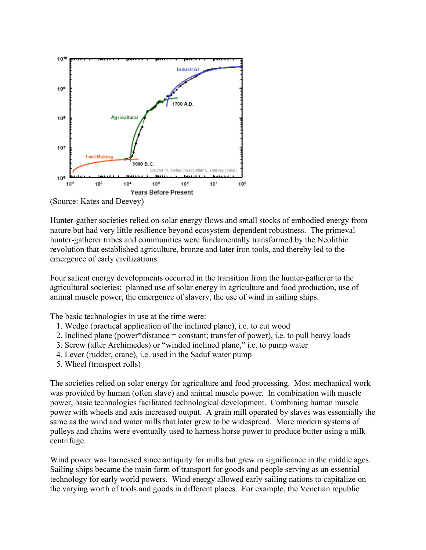

(Source: Kates and Deevey)

Hunter-gather societies relied on solar energy flows and small stocks of embodied energy from nature but had very little resilience beyond ecosystem-dependent robustness. The primeval hunter-gatherer tribes and communities were fundamentally transformed by the Neolithic revolution that established agriculture, bronze and later iron tools, and thereby led to the emergence of early civilizations.

Four salient energy developments occurred in the transition from the hunter-gatherer to the agricultural societies: planned use of solar energy in agriculture and food production, use of animal muscle power, the emergence of slavery, the use of wind in sailing ships.

The basic technologies in use at the time were:

- 1. Wedge (practical application of the inclined plane), i.e. to cut wood
- 2. Inclined plane (power\*distance = constant; transfer of power), i.e. to pull heavy loads
- 3. Screw (after Archimedes) or "winded inclined plane," i.e. to pump water
- 4. Lever (rudder, crane), i.e. used in the Saduf water pump
- 5. Wheel (transport rolls)

The societies relied on solar energy for agriculture and food processing. Most mechanical work was provided by human (often slave) and animal muscle power. In combination with muscle power, basic technologies facilitated technological development. Combining human muscle power with wheels and axis increased output. A grain mill operated by slaves was essentially the same as the wind and water mills that later grew to be widespread. More modern systems of pulleys and chains were eventually used to harness horse power to produce butter using a milk centrifuge.

Wind power was harnessed since antiquity for mills but grew in significance in the middle ages. Sailing ships became the main form of transport for goods and people serving as an essential technology for early world powers. Wind energy allowed early sailing nations to capitalize on the varying worth of tools and goods in different places. For example, the Venetian republic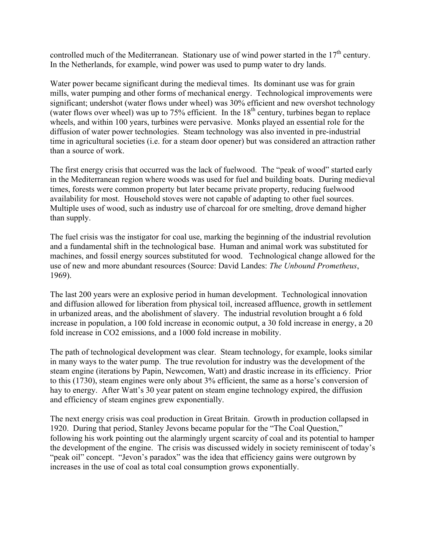controlled much of the Mediterranean. Stationary use of wind power started in the  $17<sup>th</sup>$  century. In the Netherlands, for example, wind power was used to pump water to dry lands.

Water power became significant during the medieval times. Its dominant use was for grain mills, water pumping and other forms of mechanical energy. Technological improvements were significant; undershot (water flows under wheel) was 30% efficient and new overshot technology (water flows over wheel) was up to  $75\%$  efficient. In the  $18<sup>th</sup>$  century, turbines began to replace wheels, and within 100 years, turbines were pervasive. Monks played an essential role for the diffusion of water power technologies. Steam technology was also invented in pre-industrial time in agricultural societies (i.e. for a steam door opener) but was considered an attraction rather than a source of work.

The first energy crisis that occurred was the lack of fuelwood. The "peak of wood" started early in the Mediterranean region where woods was used for fuel and building boats. During medieval times, forests were common property but later became private property, reducing fuelwood availability for most. Household stoves were not capable of adapting to other fuel sources. Multiple uses of wood, such as industry use of charcoal for ore smelting, drove demand higher than supply.

The fuel crisis was the instigator for coal use, marking the beginning of the industrial revolution and a fundamental shift in the technological base. Human and animal work was substituted for machines, and fossil energy sources substituted for wood. Technological change allowed for the use of new and more abundant resources (Source: David Landes: *The Unbound Prometheus*, 1969).

The last 200 years were an explosive period in human development. Technological innovation and diffusion allowed for liberation from physical toil, increased affluence, growth in settlement in urbanized areas, and the abolishment of slavery. The industrial revolution brought a 6 fold increase in population, a 100 fold increase in economic output, a 30 fold increase in energy, a 20 fold increase in CO2 emissions, and a 1000 fold increase in mobility.

The path of technological development was clear. Steam technology, for example, looks similar in many ways to the water pump. The true revolution for industry was the development of the steam engine (iterations by Papin, Newcomen, Watt) and drastic increase in its efficiency. Prior to this (1730), steam engines were only about 3% efficient, the same as a horse's conversion of hay to energy. After Watt's 30 year patent on steam engine technology expired, the diffusion and efficiency of steam engines grew exponentially.

The next energy crisis was coal production in Great Britain. Growth in production collapsed in 1920. During that period, Stanley Jevons became popular for the "The Coal Question," following his work pointing out the alarmingly urgent scarcity of coal and its potential to hamper the development of the engine. The crisis was discussed widely in society reminiscent of today's "peak oil" concept. "Jevon's paradox" was the idea that efficiency gains were outgrown by increases in the use of coal as total coal consumption grows exponentially.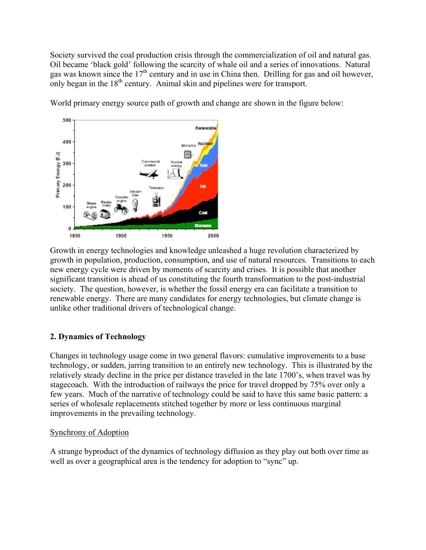Society survived the coal production crisis through the commercialization of oil and natural gas. Oil became 'black gold' following the scarcity of whale oil and a series of innovations. Natural gas was known since the 17<sup>th</sup> century and in use in China then. Drilling for gas and oil however, only began in the  $18<sup>th</sup>$  century. Animal skin and pipelines were for transport.

500 Renewable 400 Nuclea Microchio 圝 Primary Energy (EJ) 300 4 I 200 o 100  $\Omega$ 1950 2000 1850 1900

World primary energy source path of growth and change are shown in the figure below:

Growth in energy technologies and knowledge unleashed a huge revolution characterized by growth in population, production, consumption, and use of natural resources. Transitions to each new energy cycle were driven by moments of scarcity and crises. It is possible that another significant transition is ahead of us constituting the fourth transformation to the post-industrial society. The question, however, is whether the fossil energy era can facilitate a transition to renewable energy. There are many candidates for energy technologies, but climate change is unlike other traditional drivers of technological change.

# **2. Dynamics of Technology**

Changes in technology usage come in two general flavors: cumulative improvements to a base technology, or sudden, jarring transition to an entirely new technology. This is illustrated by the relatively steady decline in the price per distance traveled in the late 1700's, when travel was by stagecoach. With the introduction of railways the price for travel dropped by 75% over only a few years. Much of the narrative of technology could be said to have this same basic pattern: a series of wholesale replacements stitched together by more or less continuous marginal improvements in the prevailing technology.

#### Synchrony of Adoption

A strange byproduct of the dynamics of technology diffusion as they play out both over time as well as over a geographical area is the tendency for adoption to "sync" up.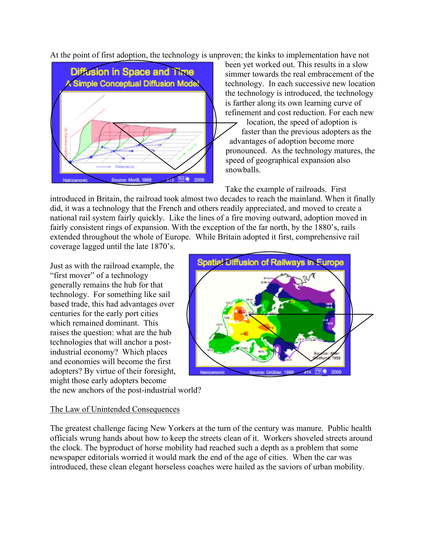At the point of first adoption, the technology is unproven; the kinks to implementation have not



been yet worked out. This results in a slow simmer towards the real embracement of the technology. In each successive new location the technology is introduced, the technology is farther along its own learning curve of refinement and cost reduction. For each new

location, the speed of adoption is faster than the previous adopters as the advantages of adoption become more pronounced. As the technology matures, the speed of geographical expansion also snowballs.

Take the example of railroads. First

introduced in Britain, the railroad took almost two decades to reach the mainland. When it finally did, it was a technology that the French and others readily appreciated, and moved to create a national rail system fairly quickly. Like the lines of a fire moving outward, adoption moved in fairly consistent rings of expansion. With the exception of the far north, by the 1880's, rails extended throughout the whole of Europe. While Britain adopted it first, comprehensive rail coverage lagged until the late 1870's.

Just as with the railroad example, the "first mover" of a technology generally remains the hub for that technology. For something like sail based trade, this had advantages over centuries for the early port cities which remained dominant. This raises the question: what are the hub technologies that will anchor a postindustrial economy? Which places and economies will become the first adopters? By virtue of their foresight, might those early adopters become



the new anchors of the post-industrial world?

# The Law of Unintended Consequences

The greatest challenge facing New Yorkers at the turn of the century was manure. Public health officials wrung hands about how to keep the streets clean of it. Workers shoveled streets around the clock. The byproduct of horse mobility had reached such a depth as a problem that some newspaper editorials worried it would mark the end of the age of cities. When the car was introduced, these clean elegant horseless coaches were hailed as the saviors of urban mobility.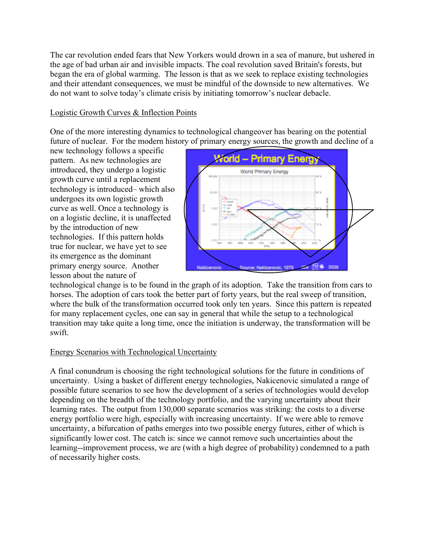The car revolution ended fears that New Yorkers would drown in a sea of manure, but ushered in the age of bad urban air and invisible impacts. The coal revolution saved Britain's forests, but began the era of global warming. The lesson is that as we seek to replace existing technologies and their attendant consequences, we must be mindful of the downside to new alternatives. We do not want to solve today's climate crisis by initiating tomorrow's nuclear debacle.

# Logistic Growth Curves & Inflection Points

One of the more interesting dynamics to technological changeover has bearing on the potential future of nuclear. For the modern history of primary energy sources, the growth and decline of a

new technology follows a specific pattern. As new technologies are introduced, they undergo a logistic growth curve until a replacement technology is introduced– which also undergoes its own logistic growth curve as well. Once a technology is on a logistic decline, it is unaffected by the introduction of new technologies. If this pattern holds true for nuclear, we have yet to see its emergence as the dominant primary energy source. Another lesson about the nature of



technological change is to be found in the graph of its adoption. Take the transition from cars to horses. The adoption of cars took the better part of forty years, but the real sweep of transition, where the bulk of the transformation occurred took only ten years. Since this pattern is repeated for many replacement cycles, one can say in general that while the setup to a technological transition may take quite a long time, once the initiation is underway, the transformation will be swift.

#### Energy Scenarios with Technological Uncertainty

A final conundrum is choosing the right technological solutions for the future in conditions of uncertainty. Using a basket of different energy technologies, Nakicenovic simulated a range of possible future scenarios to see how the development of a series of technologies would develop depending on the breadth of the technology portfolio, and the varying uncertainty about their learning rates. The output from 130,000 separate scenarios was striking: the costs to a diverse energy portfolio were high, especially with increasing uncertainty. If we were able to remove uncertainty, a bifurcation of paths emerges into two possible energy futures, either of which is significantly lower cost. The catch is: since we cannot remove such uncertainties about the learning--improvement process, we are (with a high degree of probability) condemned to a path of necessarily higher costs.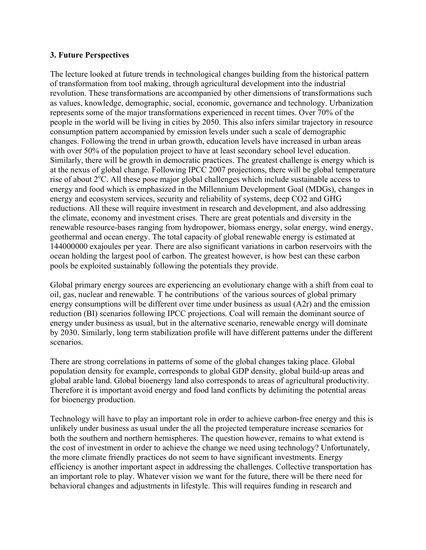### **3. Future Perspectives**

The lecture looked at future trends in technological changes building from the historical pattern of transformation from tool making, through agricultural development into the industrial revolution. These transformations are accompanied by other dimensions of transformations such as values, knowledge, demographic, social, economic, governance and technology. Urbanization represents some of the major transformations experienced in recent times. Over 70% of the people in the world will be living in cities by 2050. This also infers similar trajectory in resource consumption pattern accompanied by emission levels under such a scale of demographic changes. Following the trend in urban growth, education levels have increased in urban areas with over 50% of the population project to have at least secondary school level education. Similarly, there will be growth in democratic practices. The greatest challenge is energy which is at the nexus of global change. Following IPCC 2007 projections, there will be global temperature rise of about  $2^{\circ}$ C. All these pose major global challenges which include sustainable access to energy and food which is emphasized in the Millennium Development Goal (MDGs), changes in energy and ecosystem services, security and reliability of systems, deep CO2 and GHG reductions. All these will require investment in research and development, and also addressing the climate, economy and investment crises. There are great potentials and diversity in the renewable resource-bases ranging from hydropower, biomass energy, solar energy, wind energy, geothermal and ocean energy. The total capacity of global renewable energy is estimated at 144000000 exajoules per year. There are also significant variations in carbon reservoirs with the ocean holding the largest pool of carbon. The greatest however, is how best can these carbon pools be exploited sustainably following the potentials they provide.

Global primary energy sources are experiencing an evolutionary change with a shift from coal to oil, gas, nuclear and renewable. T he contributions of the various sources of global primary energy consumptions will be different over time under business as usual (A2r) and the emission reduction (BI) scenarios following IPCC projections. Coal will remain the dominant source of energy under business as usual, but in the alternative scenario, renewable energy will dominate by 2030. Similarly, long term stabilization profile will have different patterns under the different scenarios.

There are strong correlations in patterns of some of the global changes taking place. Global population density for example, corresponds to global GDP density, global build-up areas and global arable land. Global bioenergy land also corresponds to areas of agricultural productivity. Therefore it is important avoid energy and food land conflicts by delimiting the potential areas for bioenergy production.

Technology will have to play an important role in order to achieve carbon-free energy and this is unlikely under business as usual under the all the projected temperature increase scenarios for both the southern and northern hemispheres. The question however, remains to what extend is the cost of investment in order to achieve the change we need using technology? Unfortunately, the more climate friendly practices do not seem to have significant investments. Energy efficiency is another important aspect in addressing the challenges. Collective transportation has an important role to play. Whatever vision we want for the future, there will be there need for behavioral changes and adjustments in lifestyle. This will requires funding in research and